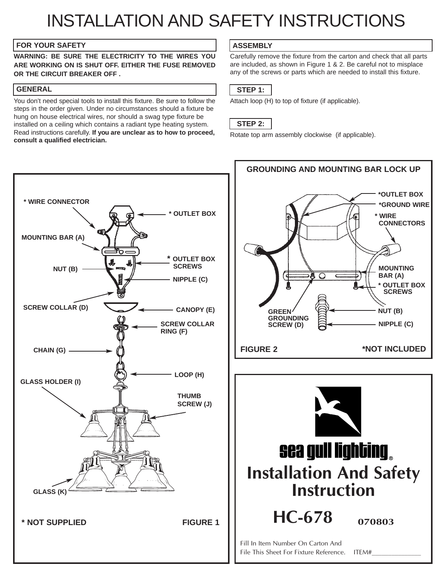# INSTALLATION AND SAFETY INSTRUCTIONS

#### **FOR YOUR SAFETY ASSEMBLY**

**WARNING: BE SURE THE ELECTRICITY TO THE WIRES YOU ARE WORKING ON IS SHUT OFF. EITHER THE FUSE REMOVED OR THE CIRCUIT BREAKER OFF .**

## **GENERAL**

You don't need special tools to install this fixture. Be sure to follow the steps in the order given. Under no circumstances should a fixture be hung on house electrical wires, nor should a swag type fixture be installed on a ceiling which contains a radiant type heating system. Read instructions carefully. **If you are unclear as to how to proceed, consult a qualified electrician.**



Carefully remove the fixture from the carton and check that all parts are included, as shown in Figure 1 & 2. Be careful not to misplace any of the screws or parts which are needed to install this fixture.

# **STEP 1:**

Attach loop (H) to top of fixture (if applicable).

## **STEP 2:**

Rotate top arm assembly clockwise (if applicable).